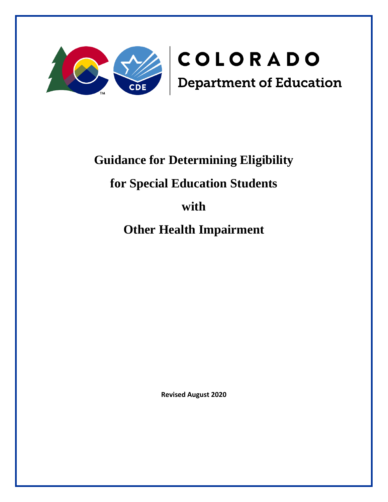

# **Guidance for Determining Eligibility**

## **for Special Education Students**

## **with**

**Other Health Impairment** 

**Revised August 2020**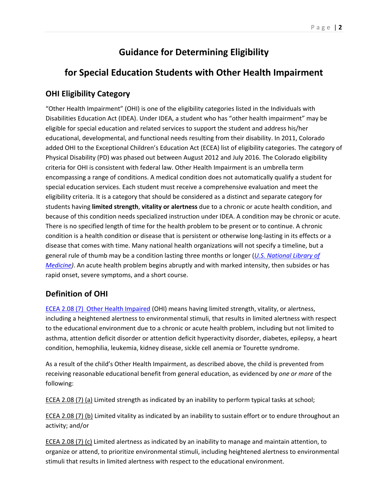## **Guidance for Determining Eligibility**

## **for Special Education Students with Other Health Impairment**

## **OHI Eligibility Category**

"Other Health Impairment" (OHI) is one of the eligibility categories listed in the Individuals with Disabilities Education Act (IDEA). Under IDEA, a student who has "other health impairment" may be eligible for special education and related services to support the student and address his/her educational, developmental, and functional needs resulting from their disability. In 2011, Colorado added OHI to the Exceptional Children's Education Act (ECEA) list of eligibility categories. The category of Physical Disability (PD) was phased out between August 2012 and July 2016. The Colorado eligibility criteria for OHI is consistent with federal law. Other Health Impairment is an umbrella term encompassing a range of conditions. A medical condition does not automatically qualify a student for special education services. Each student must receive a comprehensive evaluation and meet the eligibility criteria. It is a category that should be considered as a distinct and separate category for students having **limited strength**, **vitality or alertness** due to a chronic or acute health condition, and because of this condition needs specialized instruction under IDEA. A condition may be chronic or acute. There is no specified length of time for the health problem to be present or to continue. A chronic condition is a health condition or disease that is persistent or otherwise long-lasting in its effects or a disease that comes with time. Many national health organizations will not specify a timeline, but a general rule of thumb may be a condition lasting three months or longer (*[U.S. National](https://www.ncbi.nlm.nih.gov/pmc/articles/PMC4969287/) Library of [Medicine\)](https://www.ncbi.nlm.nih.gov/pmc/articles/PMC4969287/)*. An acute health problem begins abruptly and with marked intensity, then subsides or has rapid onset, severe symptoms, and a short course.

## **Definition of OHI**

[ECEA 2.08 \(7\) Other Health Impaired](http://www.sos.state.co.us/CCR/GenerateRulePdf.do?ruleVersionId=6624&fileName=1%20CCR%20301-8) (OHI) means having limited strength, vitality, or alertness, including a heightened alertness to environmental stimuli, that results in limited alertness with respect to the educational environment due to a chronic or acute health problem, including but not limited to asthma, attention deficit disorder or attention deficit hyperactivity disorder, diabetes, epilepsy, a heart condition, hemophilia, leukemia, kidney disease, sickle cell anemia or Tourette syndrome.

As a result of the child's Other Health Impairment, as described above, the child is prevented from receiving reasonable educational benefit from general education, as evidenced by *one or more* of the following:

ECEA 2.08 (7) (a) Limited strength as indicated by an inability to perform typical tasks at school;

ECEA 2.08 (7) (b) Limited vitality as indicated by an inability to sustain effort or to endure throughout an activity; and/or

ECEA 2.08 (7) (c) Limited alertness as indicated by an inability to manage and maintain attention, to organize or attend, to prioritize environmental stimuli, including heightened alertness to environmental stimuli that results in limited alertness with respect to the educational environment.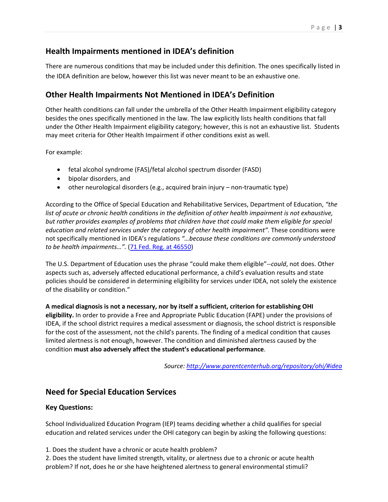## **Health Impairments mentioned in IDEA's definition**

There are numerous conditions that may be included under this definition. The ones specifically listed in the IDEA definition are below, however this list was never meant to be an exhaustive one.

### **Other Health Impairments Not Mentioned in IDEA's Definition**

Other health conditions can fall under the umbrella of the Other Health Impairment eligibility category besides the ones specifically mentioned in the law. The law explicitly lists health conditions that fall under the Other Health Impairment eligibility category; however, this is not an exhaustive list. Students may meet criteria for Other Health Impairment if other conditions exist as well.

For example:

- fetal alcohol syndrome (FAS)/fetal alcohol spectrum disorder (FASD)
- bipolar disorders, and
- other neurological disorders (e.g., acquired brain injury non-traumatic type)

According to the Office of Special Education and Rehabilitative Services, Department of Education, *"the list of acute or chronic health conditions in the definition of other health impairment is not exhaustive, but rather provides examples of problems that children have that could make them eligible for special education and related services under the category of other health impairment".* These conditions were not specifically mentioned in IDEA's regulations *"…because these conditions are commonly understood to be health impairments…".* [\(71 Fed. Reg. at](https://www.gpo.gov/fdsys/pkg/FR-2006-08-14/pdf/06-6656.pdf) 46550)

The U.S. Department of Education uses the phrase "could make them eligible"--*could*, not does. Other aspects such as, adversely affected educational performance, a child's evaluation results and state policies should be considered in determining eligibility for services under IDEA, not solely the existence of the disability or condition."

**A medical diagnosis is not a necessary, nor by itself a sufficient, criterion for establishing OHI eligibility.** In order to provide a Free and Appropriate Public Education (FAPE) under the provisions of IDEA, if the school district requires a medical assessment or diagnosis, the school district is responsible for the cost of the assessment, not the child's parents. The finding of a medical condition that causes limited alertness is not enough, however. The condition and diminished alertness caused by the condition **must also adversely affect the student's educational performance**.

*Source:<http://www.parentcenterhub.org/repository/ohi/#idea>*

### **Need for Special Education Services**

#### **Key Questions:**

School Individualized Education Program (IEP) teams deciding whether a child qualifies for special education and related services under the OHI category can begin by asking the following questions:

- 1. Does the student have a chronic or acute health problem?
- 2. Does the student have limited strength, vitality, or alertness due to a chronic or acute health problem? If not, does he or she have heightened alertness to general environmental stimuli?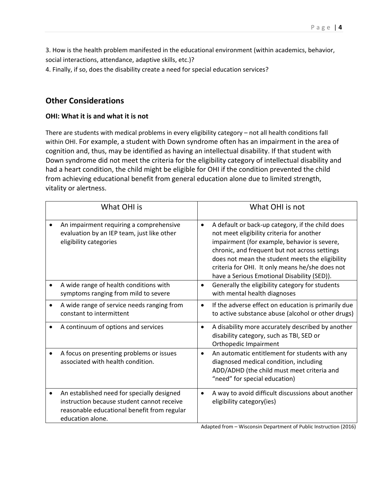3. How is the health problem manifested in the educational environment (within academics, behavior,

social interactions, attendance, adaptive skills, etc.)?

4. Finally, if so, does the disability create a need for special education services?

### **Other Considerations**

#### **OHI: What it is and what it is not**

There are students with medical problems in every eligibility category – not all health conditions fall within OHI. For example, a student with Down syndrome often has an impairment in the area of cognition and, thus, may be identified as having an intellectual disability. If that student with Down syndrome did not meet the criteria for the eligibility category of intellectual disability and had a heart condition, the child might be eligible for OHI if the condition prevented the child from achieving educational benefit from general education alone due to limited strength, vitality or alertness.

| What OHI is                                                                                                                                                      | What OHI is not                                                                                                                                                                                                                                                                                                                                     |
|------------------------------------------------------------------------------------------------------------------------------------------------------------------|-----------------------------------------------------------------------------------------------------------------------------------------------------------------------------------------------------------------------------------------------------------------------------------------------------------------------------------------------------|
| An impairment requiring a comprehensive<br>evaluation by an IEP team, just like other<br>eligibility categories                                                  | A default or back-up category, if the child does<br>not meet eligibility criteria for another<br>impairment (for example, behavior is severe,<br>chronic, and frequent but not across settings<br>does not mean the student meets the eligibility<br>criteria for OHI. It only means he/she does not<br>have a Serious Emotional Disability (SED)). |
| A wide range of health conditions with<br>$\bullet$<br>symptoms ranging from mild to severe                                                                      | Generally the eligibility category for students<br>$\bullet$<br>with mental health diagnoses                                                                                                                                                                                                                                                        |
| A wide range of service needs ranging from<br>$\bullet$<br>constant to intermittent                                                                              | If the adverse effect on education is primarily due<br>$\bullet$<br>to active substance abuse (alcohol or other drugs)                                                                                                                                                                                                                              |
| A continuum of options and services                                                                                                                              | A disability more accurately described by another<br>disability category, such as TBI, SED or<br>Orthopedic Impairment                                                                                                                                                                                                                              |
| A focus on presenting problems or issues<br>٠<br>associated with health condition.                                                                               | An automatic entitlement for students with any<br>diagnosed medical condition, including<br>ADD/ADHD (the child must meet criteria and<br>"need" for special education)                                                                                                                                                                             |
| An established need for specially designed<br>٠<br>instruction because student cannot receive<br>reasonable educational benefit from regular<br>education alone. | A way to avoid difficult discussions about another<br>eligibility category(ies)                                                                                                                                                                                                                                                                     |

Adapted from – Wisconsin Department of Public Instruction (2016)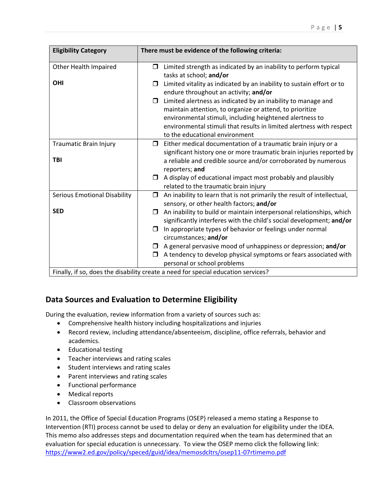| <b>Eligibility Category</b>                                                     | There must be evidence of the following criteria:                                                     |  |  |  |
|---------------------------------------------------------------------------------|-------------------------------------------------------------------------------------------------------|--|--|--|
| Other Health Impaired                                                           | Limited strength as indicated by an inability to perform typical<br>0                                 |  |  |  |
| <b>OHI</b>                                                                      | tasks at school; and/or<br>Limited vitality as indicated by an inability to sustain effort or to<br>□ |  |  |  |
|                                                                                 | endure throughout an activity; and/or                                                                 |  |  |  |
|                                                                                 | Limited alertness as indicated by an inability to manage and<br>$\Box$                                |  |  |  |
|                                                                                 | maintain attention, to organize or attend, to prioritize                                              |  |  |  |
|                                                                                 | environmental stimuli, including heightened alertness to                                              |  |  |  |
|                                                                                 | environmental stimuli that results in limited alertness with respect                                  |  |  |  |
|                                                                                 | to the educational environment                                                                        |  |  |  |
| Traumatic Brain Injury                                                          | $\Box$ Either medical documentation of a traumatic brain injury or a                                  |  |  |  |
|                                                                                 | significant history one or more traumatic brain injuries reported by                                  |  |  |  |
| <b>TBI</b>                                                                      | a reliable and credible source and/or corroborated by numerous                                        |  |  |  |
|                                                                                 | reporters; and                                                                                        |  |  |  |
|                                                                                 | A display of educational impact most probably and plausibly<br>$\Box$                                 |  |  |  |
|                                                                                 | related to the traumatic brain injury                                                                 |  |  |  |
| <b>Serious Emotional Disability</b>                                             | An inability to learn that is not primarily the result of intellectual,<br>◘                          |  |  |  |
|                                                                                 | sensory, or other health factors; and/or                                                              |  |  |  |
| <b>SED</b>                                                                      | An inability to build or maintain interpersonal relationships, which<br>$\Box$                        |  |  |  |
|                                                                                 | significantly interferes with the child's social development; and/or                                  |  |  |  |
|                                                                                 | In appropriate types of behavior or feelings under normal<br>Π.                                       |  |  |  |
|                                                                                 | circumstances; and/or                                                                                 |  |  |  |
|                                                                                 | A general pervasive mood of unhappiness or depression; and/or<br>$\Box$                               |  |  |  |
|                                                                                 | A tendency to develop physical symptoms or fears associated with<br>⊓                                 |  |  |  |
|                                                                                 | personal or school problems                                                                           |  |  |  |
| Finally if so does the disability create a need for special education services? |                                                                                                       |  |  |  |

Finally, if so, does the disability create a need for special education services?

## **Data Sources and Evaluation to Determine Eligibility**

During the evaluation, review information from a variety of sources such as:

- Comprehensive health history including hospitalizations and injuries
- Record review, including attendance/absenteeism, discipline, office referrals, behavior and academics.
- Educational testing
- Teacher interviews and rating scales
- Student interviews and rating scales
- Parent interviews and rating scales
- Functional performance
- Medical reports
- Classroom observations

In 2011, the Office of Special Education Programs (OSEP) released a memo stating a Response to Intervention (RTI) process cannot be used to delay or deny an evaluation for eligibility under the IDEA. This memo also addresses steps and documentation required when the team has determined that an evaluation for special education is unnecessary. To view the OSEP memo click the following link: <https://www2.ed.gov/policy/speced/guid/idea/memosdcltrs/osep11-07rtimemo.pdf>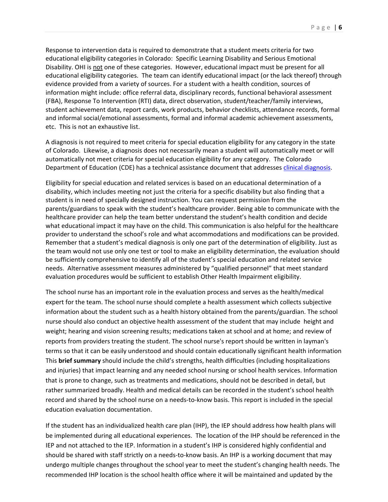Response to intervention data is required to demonstrate that a student meets criteria for two educational eligibility categories in Colorado: Specific Learning Disability and Serious Emotional Disability. OHI is not one of these categories. However, educational impact must be present for all educational eligibility categories. The team can identify educational impact (or the lack thereof) through evidence provided from a variety of sources. For a student with a health condition, sources of information might include: office referral data, disciplinary records, functional behavioral assessment (FBA), Response To Intervention (RTI) data, direct observation, student/teacher/family interviews, student achievement data, report cards, work products, behavior checklists, attendance records, formal and informal social/emotional assessments, formal and informal academic achievement assessments, etc. This is not an exhaustive list.

A diagnosis is not required to meet criteria for special education eligibility for any category in the state of Colorado. Likewise, a diagnosis does not necessarily mean a student will automatically meet or will automatically not meet criteria for special education eligibility for any category. The Colorado Department of Education (CDE) has a technical assistance document that addresses [clinical diagnosis.](http://www.cde.state.co.us/cdesped/ta_clinicaldiagnoses)

Eligibility for special education and related services is based on an educational determination of a disability, which includes meeting not just the criteria for a specific disability but also finding that a student is in need of specially designed instruction. You can request permission from the parents/guardians to speak with the student's healthcare provider. Being able to communicate with the healthcare provider can help the team better understand the student's health condition and decide what educational impact it may have on the child. This communication is also helpful for the healthcare provider to understand the school's role and what accommodations and modifications can be provided. Remember that a student's medical diagnosis is only one part of the determination of eligibility. Just as the team would not use only one test or tool to make an eligibility determination, the evaluation should be sufficiently comprehensive to identify all of the student's special education and related service needs. Alternative assessment measures administered by "qualified personnel" that meet standard evaluation procedures would be sufficient to establish Other Health Impairment eligibility.

The school nurse has an important role in the evaluation process and serves as the health/medical expert for the team. The school nurse should complete a health assessment which collects subjective information about the student such as a health history obtained from the parents/guardian. The school nurse should also conduct an objective health assessment of the student that may include height and weight; hearing and vision screening results; medications taken at school and at home; and review of reports from providers treating the student. The school nurse's report should be written in layman's terms so that it can be easily understood and should contain educationally significant health information This **brief summary** should include the child's strengths, health difficulties (including hospitalizations and injuries) that impact learning and any needed school nursing or school health services. Information that is prone to change, such as treatments and medications, should not be described in detail, but rather summarized broadly. Health and medical details can be recorded in the student's school health record and shared by the school nurse on a needs-to-know basis. This report is included in the special education evaluation documentation.

If the student has an individualized health care plan (IHP), the IEP should address how health plans will be implemented during all educational experiences. The location of the IHP should be referenced in the IEP and not attached to the IEP. Information in a student's IHP is considered highly confidential and should be shared with staff strictly on a needs-to-know basis. An IHP is a working document that may undergo multiple changes throughout the school year to meet the student's changing health needs. The recommended IHP location is the school health office where it will be maintained and updated by the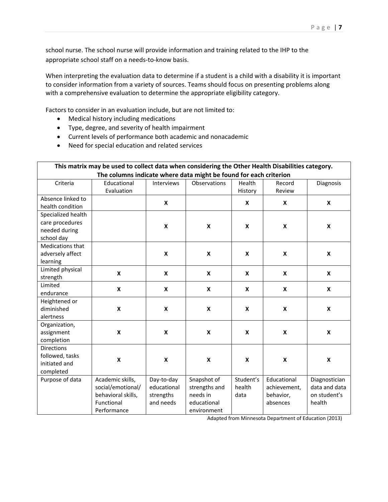school nurse. The school nurse will provide information and training related to the IHP to the appropriate school staff on a needs-to-know basis.

When interpreting the evaluation data to determine if a student is a child with a disability it is important to consider information from a variety of sources. Teams should focus on presenting problems along with a comprehensive evaluation to determine the appropriate eligibility category.

Factors to consider in an evaluation include, but are not limited to:

- Medical history including medications
- Type, degree, and severity of health impairment
- Current levels of performance both academic and nonacademic
- Need for special education and related services

| This matrix may be used to collect data when considering the Other Health Disabilities category.<br>The columns indicate where data might be found for each criterion |                                                                                          |                                                     |                                                                        |                             |                                                      |                                                          |
|-----------------------------------------------------------------------------------------------------------------------------------------------------------------------|------------------------------------------------------------------------------------------|-----------------------------------------------------|------------------------------------------------------------------------|-----------------------------|------------------------------------------------------|----------------------------------------------------------|
| Criteria                                                                                                                                                              | Educational<br>Evaluation                                                                | Interviews                                          | Observations                                                           | Health<br>History           | Record<br>Review                                     | Diagnosis                                                |
| Absence linked to<br>health condition                                                                                                                                 |                                                                                          | X                                                   |                                                                        | X                           | X                                                    | X                                                        |
| Specialized health<br>care procedures<br>needed during<br>school day                                                                                                  |                                                                                          | X                                                   | X                                                                      | X                           | X                                                    | X                                                        |
| Medications that<br>adversely affect<br>learning                                                                                                                      |                                                                                          | X                                                   | X                                                                      | X                           | X                                                    | X                                                        |
| Limited physical<br>strength                                                                                                                                          | $\boldsymbol{x}$                                                                         | X                                                   | X                                                                      | X                           | X                                                    | X                                                        |
| Limited<br>endurance                                                                                                                                                  | $\boldsymbol{x}$                                                                         | X                                                   | X                                                                      | X                           | X                                                    | X                                                        |
| Heightened or<br>diminished<br>alertness                                                                                                                              | X                                                                                        | X                                                   | X                                                                      | $\boldsymbol{x}$            | X                                                    | X                                                        |
| Organization,<br>assignment<br>completion                                                                                                                             | X                                                                                        | X                                                   | $\pmb{\mathsf{X}}$                                                     | X                           | X                                                    | $\pmb{\mathsf{X}}$                                       |
| <b>Directions</b><br>followed, tasks<br>initiated and<br>completed                                                                                                    | X                                                                                        | X                                                   | X                                                                      | X                           | X                                                    | $\boldsymbol{\mathsf{x}}$                                |
| Purpose of data                                                                                                                                                       | Academic skills,<br>social/emotional/<br>behavioral skills,<br>Functional<br>Performance | Day-to-day<br>educational<br>strengths<br>and needs | Snapshot of<br>strengths and<br>needs in<br>educational<br>environment | Student's<br>health<br>data | Educational<br>achievement,<br>behavior,<br>absences | Diagnostician<br>data and data<br>on student's<br>health |

Adapted from Minnesota Department of Education (2013)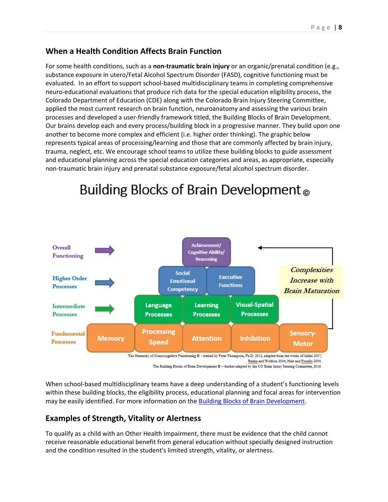### **When a Health Condition Affects Brain Function**

For some health conditions, such as a **non-traumatic brain injury** or an organic/prenatal condition (e.g., substance exposure in utero/Fetal Alcohol Spectrum Disorder (FASD), cognitive functioning must be evaluated. In an effort to support school-based multidisciplinary teams in completing comprehensive neuro-educational evaluations that produce rich data for the special education eligibility process, the Colorado Department of Education (CDE) along with the Colorado Brain Injury Steering Committee, applied the most current research on brain function, neuroanatomy and assessing the various brain processes and developed a user-friendly framework titled, the Building Blocks of Brain Development. Our brains develop each and every process/building block in a progressive manner. They build upon one another to become more complex and efficient (i.e. higher order thinking). The graphic below represents typical areas of processing/learning and those that are commonly affected by brain injury, trauma, neglect, etc. We encourage school teams to utilize these building blocks to guide assessment and educational planning across the special education categories and areas, as appropriate, especially non-traumatic brain injury and prenatal substance exposure/fetal alcohol spectrum disorder.



# Building Blocks of Brain Development<sub>®</sub>

When school-based multidisciplinary teams have a deep understanding of a student's functioning levels within these building blocks, the eligibility process, educational planning and focal areas for intervention may be easily identified. For more information on th[e Building Blocks of Brain Development.](http://www.cde.state.co.us/cdesped/sd-tbi_buildingblocks)

## **Examples of Strength, Vitality or Alertness**

To qualify as a child with an Other Health Impairment, there must be evidence that the child cannot receive reasonable educational benefit from general education without specially designed instruction and the condition resulted in the student's limited strength, vitality, or alertness.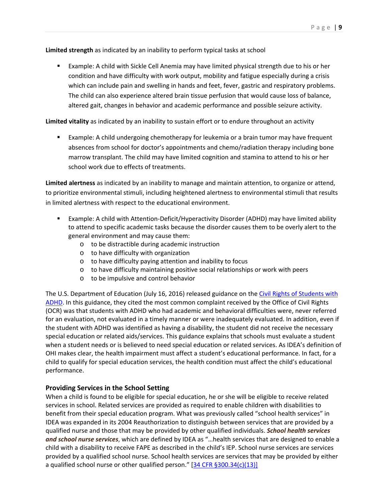#### **Limited strength** as indicated by an inability to perform typical tasks at school

 Example: A child with Sickle Cell Anemia may have limited physical strength due to his or her condition and have difficulty with work output, mobility and fatigue especially during a crisis which can include pain and swelling in hands and feet, fever, gastric and respiratory problems. The child can also experience altered brain tissue perfusion that would cause loss of balance, altered gait, changes in behavior and academic performance and possible seizure activity.

**Limited vitality** as indicated by an inability to sustain effort or to endure throughout an activity

 Example: A child undergoing chemotherapy for leukemia or a brain tumor may have frequent absences from school for doctor's appointments and chemo/radiation therapy including bone marrow transplant. The child may have limited cognition and stamina to attend to his or her school work due to effects of treatments.

**Limited alertness** as indicated by an inability to manage and maintain attention, to organize or attend, to prioritize environmental stimuli, including heightened alertness to environmental stimuli that results in limited alertness with respect to the educational environment.

- Example: A child with Attention-Deficit/Hyperactivity Disorder (ADHD) may have limited ability to attend to specific academic tasks because the disorder causes them to be overly alert to the general environment and may cause them:
	- o to be distractible during academic instruction
	- o to have difficulty with organization
	- o to have difficulty paying attention and inability to focus
	- o to have difficulty maintaining positive social relationships or work with peers
	- o to be impulsive and control behavior

The U.S. Department of Education (July 16, 2016) released guidance on the [Civil Rights of Students with](https://www2.ed.gov/about/offices/list/ocr/letters/colleague-201607-504-adhd.pdf)  [ADHD.](https://www2.ed.gov/about/offices/list/ocr/letters/colleague-201607-504-adhd.pdf) In this guidance, they cited the most common complaint received by the Office of Civil Rights (OCR) was that students with ADHD who had academic and behavioral difficulties were, never referred for an evaluation, not evaluated in a timely manner or were inadequately evaluated. In addition, even if the student with ADHD was identified as having a disability, the student did not receive the necessary special education or related aids/services. This guidance explains that schools must evaluate a student when a student needs or is believed to need special education or related services. As IDEA's definition of OHI makes clear, the health impairment must affect a student's educational performance. In fact, for a child to qualify for special education services, the health condition must affect the child's educational performance.

#### **Providing Services in the School Setting**

When a child is found to be eligible for special education, he or she will be eligible to receive related services in school. Related services are provided as required to enable children with disabilities to benefit from their special education program. What was previously called "school health services" in IDEA was expanded in its 2004 Reauthorization to distinguish between services that are provided by a qualified nurse and those that may be provided by other qualified individuals. *School health services and school nurse services*, which are defined by IDEA as "…health services that are designed to enable a child with a disability to receive FAPE as described in the child's IEP. School nurse services are services provided by a qualified school nurse. School health services are services that may be provided by either a qualified school nurse or other qualified person." [\[34 CFR §300.34\(c\)\(13\)\]](https://www.gpo.gov/fdsys/granule/CFR-2012-title34-vol2/CFR-2012-title34-vol2-sec300-34/content-detail.html)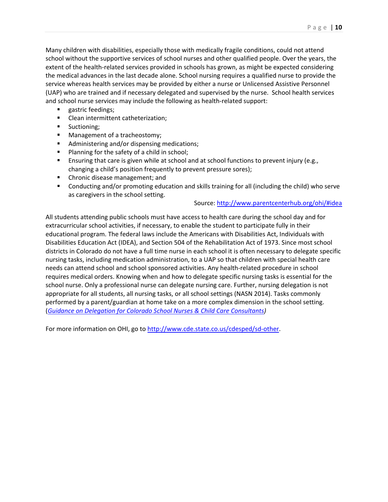Many children with disabilities, especially those with medically fragile conditions, could not attend school without the supportive services of school nurses and other qualified people. Over the years, the extent of the health-related services provided in schools has grown, as might be expected considering the medical advances in the last decade alone. School nursing requires a qualified nurse to provide the service whereas health services may be provided by either a nurse or Unlicensed Assistive Personnel (UAP) who are trained and if necessary delegated and supervised by the nurse. School health services and school nurse services may include the following as health-related support:

- **gastric feedings;**
- **EXEC** Clean intermittent catheterization;
- **Suctioning;**
- **Management of a tracheostomy;**
- **Administering and/or dispensing medications;**
- **Planning for the safety of a child in school;**
- **E** Ensuring that care is given while at school and at school functions to prevent injury (e.g., changing a child's position frequently to prevent pressure sores);
- **EXEC** Chronic disease management; and
- Conducting and/or promoting education and skills training for all (including the child) who serve as caregivers in the school setting.

#### Source:<http://www.parentcenterhub.org/ohi/#idea>

All students attending public schools must have access to health care during the school day and for extracurricular school activities, if necessary, to enable the student to participate fully in their educational program. The federal laws include the Americans with Disabilities Act, Individuals with Disabilities Education Act (IDEA), and Section 504 of the Rehabilitation Act of 1973. Since most school districts in Colorado do not have a full time nurse in each school it is often necessary to delegate specific nursing tasks, including medication administration, to a UAP so that children with special health care needs can attend school and school sponsored activities. Any health-related procedure in school requires medical orders. Knowing when and how to delegate specific nursing tasks is essential for the school nurse. Only a professional nurse can delegate nursing care. Further, nursing delegation is not appropriate for all students, all nursing tasks, or all school settings (NASN 2014). Tasks commonly performed by a parent/guardian at home take on a more complex dimension in the school setting. (*[Guidance on Delegation for Colorado School Nurses & Child Care Consultants\)](http://www.cde.state.co.us/healthandwellness/guidance-on-delegation-for-colorado-school-nurses-child-care-consultants-2-2016)*

For more information on OHI, go to [http://www.cde.state.co.us/cdesped/sd-other.](http://www.cde.state.co.us/cdesped/sd-other)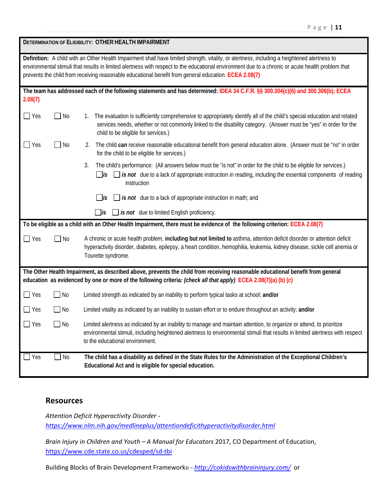|                                                                                                                                                                                                                                                                                                                                                                                                            | DETERMINATION OF ELIGIBILITY: OTHER HEALTH IMPAIRMENT |                                                                                                                                                                                                                                                                                           |  |  |  |
|------------------------------------------------------------------------------------------------------------------------------------------------------------------------------------------------------------------------------------------------------------------------------------------------------------------------------------------------------------------------------------------------------------|-------------------------------------------------------|-------------------------------------------------------------------------------------------------------------------------------------------------------------------------------------------------------------------------------------------------------------------------------------------|--|--|--|
| Definition: A child with an Other Health Impairment shall have limited strength, vitality, or alertness, including a heightened alertness to<br>environmental stimuli that results in limited alertness with respect to the educational environment due to a chronic or acute health problem that<br>prevents the child from receiving reasonable educational benefit from general education. ECEA 2.08(7) |                                                       |                                                                                                                                                                                                                                                                                           |  |  |  |
| 2.08(7)                                                                                                                                                                                                                                                                                                                                                                                                    |                                                       | The team has addressed each of the following statements and has determined: IDEA 34 C.F.R. §§ 300.304(c)(6) and 300.306(b); ECEA                                                                                                                                                          |  |  |  |
| $\blacksquare$ Yes                                                                                                                                                                                                                                                                                                                                                                                         | $\Box$ No                                             | The evaluation is sufficiently comprehensive to appropriately identify all of the child's special education and related<br>1.<br>services needs, whether or not commonly linked to the disability category. (Answer must be "yes" in order for the<br>child to be eligible for services.) |  |  |  |
| $\blacksquare$ Yes                                                                                                                                                                                                                                                                                                                                                                                         | <b>No</b>                                             | The child can receive reasonable educational benefit from general education alone. (Answer must be "no" in order<br>2.<br>for the child to be eligible for services.)                                                                                                                     |  |  |  |
|                                                                                                                                                                                                                                                                                                                                                                                                            |                                                       | 3.<br>The child's performance: (All answers below must be "is not" in order for the child to be eligible for services.)<br>$\Box$ is $\Box$ is not due to a lack of appropriate instruction in reading, including the essential components of reading<br>instruction                      |  |  |  |
|                                                                                                                                                                                                                                                                                                                                                                                                            |                                                       | $\Box$ is not due to a lack of appropriate instruction in math; and<br>$\overline{1}$                                                                                                                                                                                                     |  |  |  |
|                                                                                                                                                                                                                                                                                                                                                                                                            |                                                       | $\Box$ is not due to limited English proficiency.<br>$\Box$ is                                                                                                                                                                                                                            |  |  |  |
| To be eligible as a child with an Other Health Impairment, there must be evidence of the following criterion: ECEA 2.08(7)                                                                                                                                                                                                                                                                                 |                                                       |                                                                                                                                                                                                                                                                                           |  |  |  |
| Nes                                                                                                                                                                                                                                                                                                                                                                                                        | $\blacksquare$ No                                     | A chronic or acute health problem, including but not limited to asthma, attention deficit disorder or attention deficit<br>hyperactivity disorder, diabetes, epilepsy, a heart condition, hemophilia, leukemia, kidney disease, sickle cell anemia or<br>Tourette syndrome.               |  |  |  |
| The Other Health Impairment, as described above, prevents the child from receiving reasonable educational benefit from general<br>education as evidenced by one or more of the following criteria: (check all that apply) ECEA 2.08(7)(a) (b) (c)                                                                                                                                                          |                                                       |                                                                                                                                                                                                                                                                                           |  |  |  |
| Nes                                                                                                                                                                                                                                                                                                                                                                                                        | No                                                    | Limited strength as indicated by an inability to perform typical tasks at school; and/or                                                                                                                                                                                                  |  |  |  |
| Yes                                                                                                                                                                                                                                                                                                                                                                                                        | No                                                    | Limited vitality as indicated by an inability to sustain effort or to endure throughout an activity; and/or                                                                                                                                                                               |  |  |  |
| Yes                                                                                                                                                                                                                                                                                                                                                                                                        | No                                                    | Limited alertness as indicated by an inability to manage and maintain attention, to organize or attend, to prioritize<br>environmental stimuli, including heightened alertness to environmental stimuli that results in limited alertness with respect<br>to the educational environment. |  |  |  |
| Yes                                                                                                                                                                                                                                                                                                                                                                                                        | $\Box$ No                                             | The child has a disability as defined in the State Rules for the Administration of the Exceptional Children's<br>Educational Act and is eligible for special education.                                                                                                                   |  |  |  |

#### **Resources**

*Attention Deficit Hyperactivity Disorder <https://www.nlm.nih.gov/medlineplus/attentiondeficithyperactivitydisorder.html>*

*Brain Injury in Children and Youth – A Manual for Educators* 2017, CO Department of Education, <https://www.cde.state.co.us/cdesped/sd-tbi>

Building Blocks of Brain Development Framework© - *<http://cokidswithbraininjury.com/>* or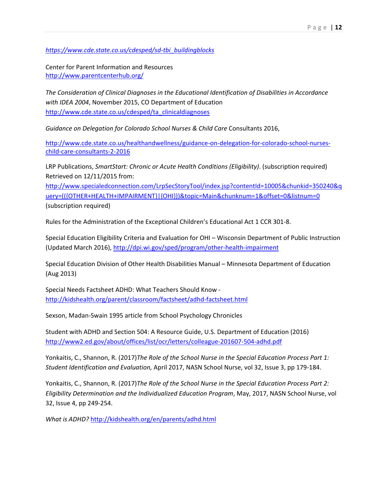*[https://www.cde.state.co.us/cdesped/sd-tbi\\_buildingblocks](https://www.cde.state.co.us/cdesped/sd-tbi_buildingblocks)*

Center for Parent Information and Resources <http://www.parentcenterhub.org/>

*The Consideration of Clinical Diagnoses in the Educational Identification of Disabilities in Accordance with IDEA 2004*, November 2015, CO Department of Education [http://www.cde.state.co.us/cdesped/ta\\_clinicaldiagnoses](http://www.cde.state.co.us/cdesped/ta_clinicaldiagnoses)

*Guidance on Delegation for Colorado School Nurses & Child Care* Consultants 2016,

[http://www.cde.state.co.us/healthandwellness/guidance-on-delegation-for-colorado-school-nurses](http://www.cde.state.co.us/healthandwellness/guidance-on-delegation-for-colorado-school-nurses-child-care-consultants-2-2016)[child-care-consultants-2-2016](http://www.cde.state.co.us/healthandwellness/guidance-on-delegation-for-colorado-school-nurses-child-care-consultants-2-2016)

LRP Publications, *SmartStart: Chronic or Acute Health Conditions (Eligibility)*. (subscription required) Retrieved on 12/11/2015 from:

[http://www.specialedconnection.com/LrpSecStoryTool/index.jsp?contentId=10005&chunkid=350240&q](http://www.specialedconnection.com/LrpSecStoryTool/index.jsp?contentId=10005&chunkid=350240&query=((%7bOTHER+HEALTH+IMPAIRMENT%7d|%7bOHI%7d))&topic=Main&chunknum=1&offset=0&listnum=0) [uery=\(\({OTHER+HEALTH+IMPAIRMENT}|{OHI}\)\)&topic=Main&chunknum=1&offset=0&listnum=0](http://www.specialedconnection.com/LrpSecStoryTool/index.jsp?contentId=10005&chunkid=350240&query=((%7bOTHER+HEALTH+IMPAIRMENT%7d|%7bOHI%7d))&topic=Main&chunknum=1&offset=0&listnum=0) (subscription required)

Rules for the Administration of the Exceptional Children's Educational Act 1 CCR 301-8.

Special Education Eligibility Criteria and Evaluation for OHI – Wisconsin Department of Public Instruction (Updated March 2016),<http://dpi.wi.gov/sped/program/other-health-impairment>

Special Education Division of Other Health Disabilities Manual – Minnesota Department of Education (Aug 2013)

Special Needs Factsheet ADHD: What Teachers Should Know <http://kidshealth.org/parent/classroom/factsheet/adhd-factsheet.html>

Sexson, Madan-Swain 1995 article from School Psychology Chronicles

Student with ADHD and Section 504: A Resource Guide, U.S. Department of Education (2016) <http://www2.ed.gov/about/offices/list/ocr/letters/colleague-201607-504-adhd.pdf>

Yonkaitis, C., Shannon, R. (2017)*The Role of the School Nurse in the Special Education Process Part 1: Student Identification and Evaluation,* April 2017, NASN School Nurse, vol 32, Issue 3, pp 179-184.

Yonkaitis, C., Shannon, R. (2017)*The Role of the School Nurse in the Special Education Process Part 2: Eligibility Determination and the Individualized Education Program*, May, 2017, NASN School Nurse, vol 32, Issue 4, pp 249-254.

*What is ADHD?* <http://kidshealth.org/en/parents/adhd.html>